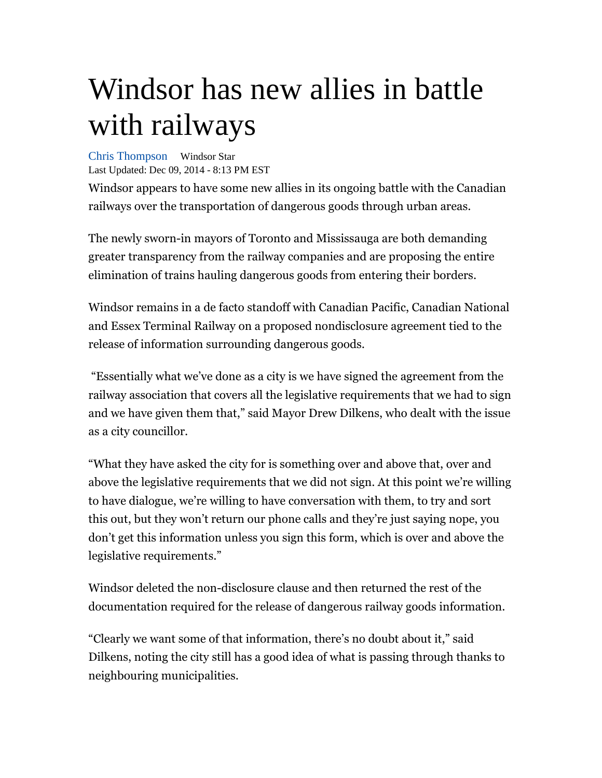## Windsor has new allies in battle with railways

Chris Thompson Windsor Star Last Updated: Dec 09, 2014 - 8:13 PM EST

Windsor appears to have some new allies in its ongoing battle with the Canadian railways over the transportation of dangerous goods through urban areas.

The newly sworn-in mayors of Toronto and Mississauga are both demanding greater transparency from the railway companies and are proposing the entire elimination of trains hauling dangerous goods from entering their borders.

Windsor remains in a de facto standoff with Canadian Pacific, Canadian National and Essex Terminal Railway on a proposed nondisclosure agreement tied to the release of information surrounding dangerous goods.

 "Essentially what we've done as a city is we have signed the agreement from the railway association that covers all the legislative requirements that we had to sign and we have given them that," said Mayor Drew Dilkens, who dealt with the issue as a city councillor.

"What they have asked the city for is something over and above that, over and above the legislative requirements that we did not sign. At this point we're willing to have dialogue, we're willing to have conversation with them, to try and sort this out, but they won't return our phone calls and they're just saying nope, you don't get this information unless you sign this form, which is over and above the legislative requirements."

Windsor deleted the non-disclosure clause and then returned the rest of the documentation required for the release of dangerous railway goods information.

"Clearly we want some of that information, there's no doubt about it," said Dilkens, noting the city still has a good idea of what is passing through thanks to neighbouring municipalities.